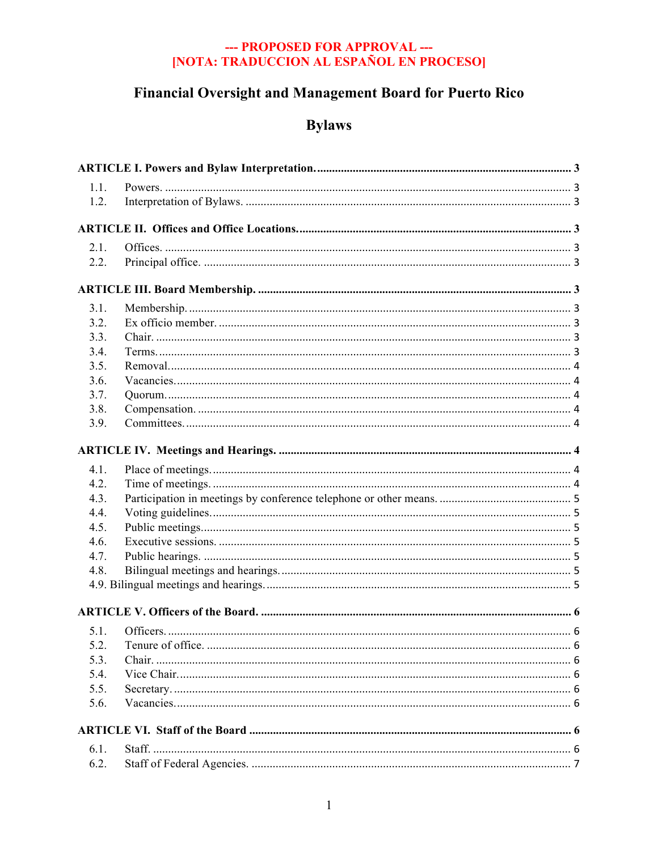# Financial Oversight and Management Board for Puerto Rico

# **Bylaws**

| 1.1. |  |  |  |
|------|--|--|--|
| 1.2. |  |  |  |
|      |  |  |  |
|      |  |  |  |
| 2.1. |  |  |  |
| 2.2. |  |  |  |
|      |  |  |  |
| 3.1. |  |  |  |
| 3.2. |  |  |  |
| 3.3. |  |  |  |
| 3.4. |  |  |  |
| 3.5. |  |  |  |
| 3.6. |  |  |  |
| 3.7. |  |  |  |
| 3.8. |  |  |  |
| 3.9. |  |  |  |
|      |  |  |  |
| 4.1. |  |  |  |
| 4.2. |  |  |  |
| 4.3. |  |  |  |
| 4.4. |  |  |  |
| 4.5. |  |  |  |
| 4.6. |  |  |  |
| 4.7. |  |  |  |
| 4.8. |  |  |  |
|      |  |  |  |
|      |  |  |  |
| 5.1. |  |  |  |
| 5.2. |  |  |  |
| 5.3. |  |  |  |
| 5.4. |  |  |  |
| 5.5. |  |  |  |
| 5.6. |  |  |  |
|      |  |  |  |
| 6.1. |  |  |  |
| 6.2. |  |  |  |
|      |  |  |  |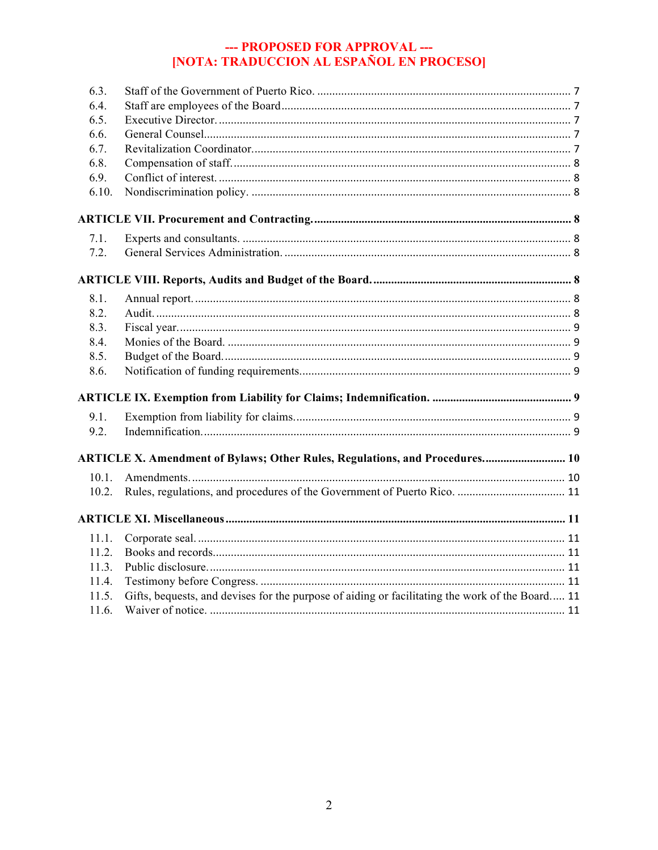| 6.3.  |                                                                                                 |  |
|-------|-------------------------------------------------------------------------------------------------|--|
| 6.4.  |                                                                                                 |  |
| 6.5.  |                                                                                                 |  |
| 6.6.  |                                                                                                 |  |
| 6.7.  |                                                                                                 |  |
| 6.8.  |                                                                                                 |  |
| 6.9.  |                                                                                                 |  |
| 6.10. |                                                                                                 |  |
|       |                                                                                                 |  |
| 7.1.  |                                                                                                 |  |
| 7.2.  |                                                                                                 |  |
|       |                                                                                                 |  |
|       |                                                                                                 |  |
| 8.1.  |                                                                                                 |  |
| 8.2.  |                                                                                                 |  |
| 8.3.  |                                                                                                 |  |
| 8.4.  |                                                                                                 |  |
| 8.5.  |                                                                                                 |  |
| 8.6.  |                                                                                                 |  |
|       |                                                                                                 |  |
| 9.1.  |                                                                                                 |  |
| 9.2.  |                                                                                                 |  |
|       |                                                                                                 |  |
|       | ARTICLE X. Amendment of Bylaws; Other Rules, Regulations, and Procedures 10                     |  |
| 10.1. |                                                                                                 |  |
| 10.2. |                                                                                                 |  |
|       |                                                                                                 |  |
| 11.1. |                                                                                                 |  |
| 11.2. |                                                                                                 |  |
| 11.3. |                                                                                                 |  |
| 11.4. |                                                                                                 |  |
| 11.5. | Gifts, bequests, and devises for the purpose of aiding or facilitating the work of the Board 11 |  |
| 11.6. |                                                                                                 |  |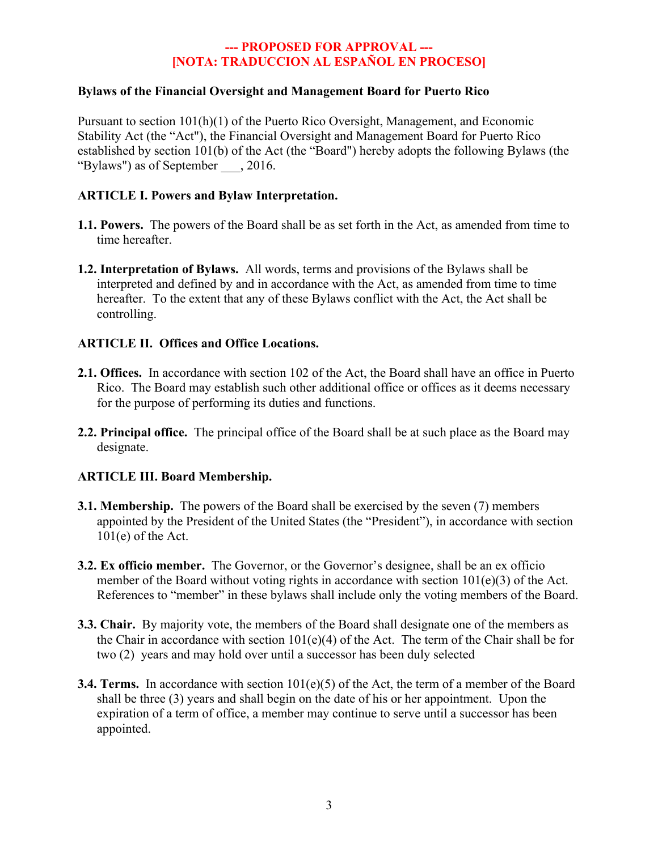#### **Bylaws of the Financial Oversight and Management Board for Puerto Rico**

Pursuant to section 101(h)(1) of the Puerto Rico Oversight, Management, and Economic Stability Act (the "Act"), the Financial Oversight and Management Board for Puerto Rico established by section 101(b) of the Act (the "Board") hereby adopts the following Bylaws (the "Bylaws") as of September \_\_\_, 2016.

#### **ARTICLE I. Powers and Bylaw Interpretation.**

- **1.1. Powers.** The powers of the Board shall be as set forth in the Act, as amended from time to time hereafter.
- **1.2. Interpretation of Bylaws.** All words, terms and provisions of the Bylaws shall be interpreted and defined by and in accordance with the Act, as amended from time to time hereafter. To the extent that any of these Bylaws conflict with the Act, the Act shall be controlling.

#### **ARTICLE II. Offices and Office Locations.**

- **2.1. Offices.** In accordance with section 102 of the Act, the Board shall have an office in Puerto Rico. The Board may establish such other additional office or offices as it deems necessary for the purpose of performing its duties and functions.
- **2.2. Principal office.** The principal office of the Board shall be at such place as the Board may designate.

#### **ARTICLE III. Board Membership.**

- **3.1. Membership.** The powers of the Board shall be exercised by the seven (7) members appointed by the President of the United States (the "President"), in accordance with section  $101(e)$  of the Act.
- **3.2. Ex officio member.** The Governor, or the Governor's designee, shall be an ex officio member of the Board without voting rights in accordance with section 101(e)(3) of the Act. References to "member" in these bylaws shall include only the voting members of the Board.
- **3.3. Chair.** By majority vote, the members of the Board shall designate one of the members as the Chair in accordance with section  $101(e)(4)$  of the Act. The term of the Chair shall be for two (2) years and may hold over until a successor has been duly selected
- **3.4. Terms.** In accordance with section 101(e)(5) of the Act, the term of a member of the Board shall be three (3) years and shall begin on the date of his or her appointment. Upon the expiration of a term of office, a member may continue to serve until a successor has been appointed.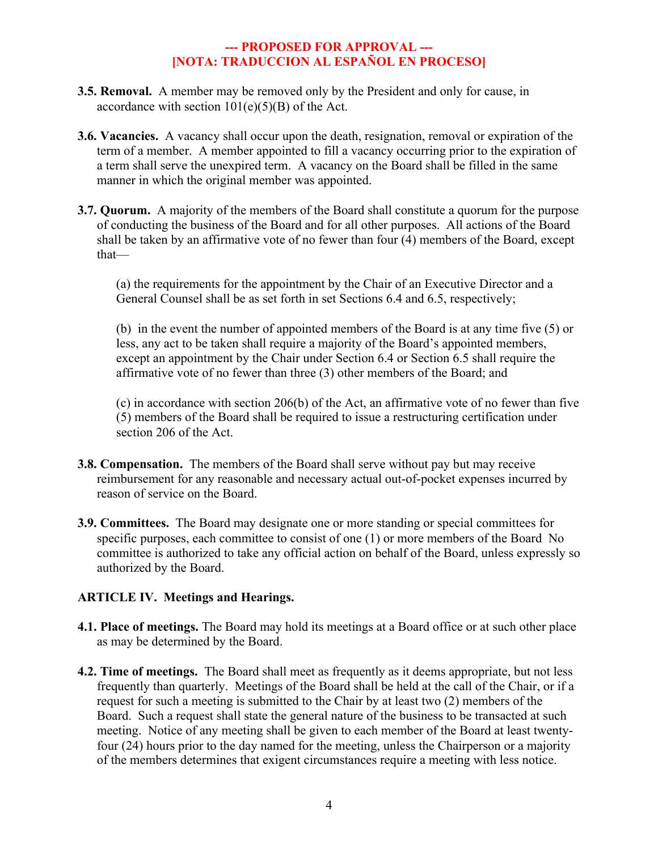- **3.5. Removal.** A member may be removed only by the President and only for cause, in accordance with section  $101(e)(5)(B)$  of the Act.
- **3.6. Vacancies.** A vacancy shall occur upon the death, resignation, removal or expiration of the term of a member. A member appointed to fill a vacancy occurring prior to the expiration of a term shall serve the unexpired term. A vacancy on the Board shall be filled in the same manner in which the original member was appointed.
- **3.7. Quorum.** A majority of the members of the Board shall constitute a quorum for the purpose of conducting the business of the Board and for all other purposes. All actions of the Board shall be taken by an affirmative vote of no fewer than four (4) members of the Board, except that—

(a) the requirements for the appointment by the Chair of an Executive Director and a General Counsel shall be as set forth in set Sections 6.4 and 6.5, respectively;

(b) in the event the number of appointed members of the Board is at any time five (5) or less, any act to be taken shall require a majority of the Board's appointed members, except an appointment by the Chair under Section 6.4 or Section 6.5 shall require the affirmative vote of no fewer than three (3) other members of the Board; and

(c) in accordance with section 206(b) of the Act, an affirmative vote of no fewer than five (5) members of the Board shall be required to issue a restructuring certification under section 206 of the Act.

- **3.8. Compensation.** The members of the Board shall serve without pay but may receive reimbursement for any reasonable and necessary actual out-of-pocket expenses incurred by reason of service on the Board.
- **3.9. Committees.** The Board may designate one or more standing or special committees for specific purposes, each committee to consist of one (1) or more members of the Board No committee is authorized to take any official action on behalf of the Board, unless expressly so authorized by the Board.

# **ARTICLE IV. Meetings and Hearings.**

- **4.1. Place of meetings.** The Board may hold its meetings at a Board office or at such other place as may be determined by the Board.
- **4.2. Time of meetings.** The Board shall meet as frequently as it deems appropriate, but not less frequently than quarterly. Meetings of the Board shall be held at the call of the Chair, or if a request for such a meeting is submitted to the Chair by at least two (2) members of the Board. Such a request shall state the general nature of the business to be transacted at such meeting. Notice of any meeting shall be given to each member of the Board at least twentyfour (24) hours prior to the day named for the meeting, unless the Chairperson or a majority of the members determines that exigent circumstances require a meeting with less notice.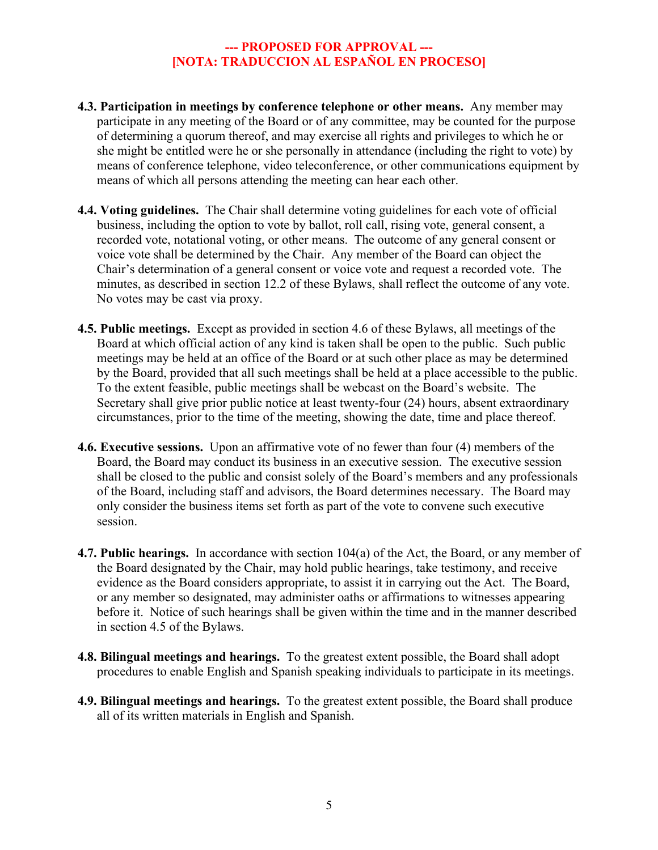- **4.3. Participation in meetings by conference telephone or other means.** Any member may participate in any meeting of the Board or of any committee, may be counted for the purpose of determining a quorum thereof, and may exercise all rights and privileges to which he or she might be entitled were he or she personally in attendance (including the right to vote) by means of conference telephone, video teleconference, or other communications equipment by means of which all persons attending the meeting can hear each other.
- **4.4. Voting guidelines.** The Chair shall determine voting guidelines for each vote of official business, including the option to vote by ballot, roll call, rising vote, general consent, a recorded vote, notational voting, or other means. The outcome of any general consent or voice vote shall be determined by the Chair. Any member of the Board can object the Chair's determination of a general consent or voice vote and request a recorded vote. The minutes, as described in section 12.2 of these Bylaws, shall reflect the outcome of any vote. No votes may be cast via proxy.
- **4.5. Public meetings.** Except as provided in section 4.6 of these Bylaws, all meetings of the Board at which official action of any kind is taken shall be open to the public. Such public meetings may be held at an office of the Board or at such other place as may be determined by the Board, provided that all such meetings shall be held at a place accessible to the public. To the extent feasible, public meetings shall be webcast on the Board's website. The Secretary shall give prior public notice at least twenty-four (24) hours, absent extraordinary circumstances, prior to the time of the meeting, showing the date, time and place thereof.
- **4.6. Executive sessions.** Upon an affirmative vote of no fewer than four (4) members of the Board, the Board may conduct its business in an executive session. The executive session shall be closed to the public and consist solely of the Board's members and any professionals of the Board, including staff and advisors, the Board determines necessary. The Board may only consider the business items set forth as part of the vote to convene such executive session.
- **4.7. Public hearings.** In accordance with section 104(a) of the Act, the Board, or any member of the Board designated by the Chair, may hold public hearings, take testimony, and receive evidence as the Board considers appropriate, to assist it in carrying out the Act. The Board, or any member so designated, may administer oaths or affirmations to witnesses appearing before it. Notice of such hearings shall be given within the time and in the manner described in section 4.5 of the Bylaws.
- **4.8. Bilingual meetings and hearings.** To the greatest extent possible, the Board shall adopt procedures to enable English and Spanish speaking individuals to participate in its meetings.
- **4.9. Bilingual meetings and hearings.** To the greatest extent possible, the Board shall produce all of its written materials in English and Spanish.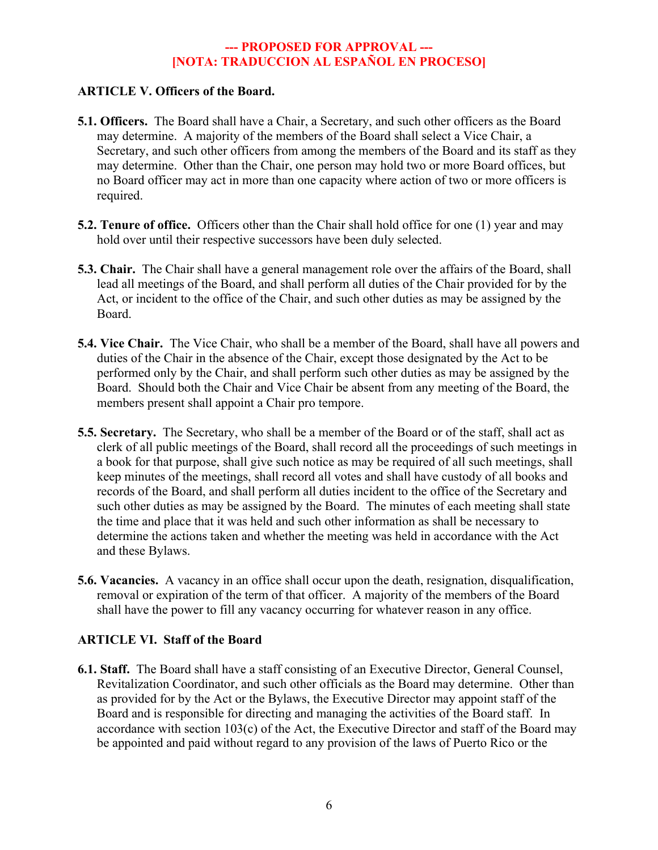#### **ARTICLE V. Officers of the Board.**

- **5.1. Officers.** The Board shall have a Chair, a Secretary, and such other officers as the Board may determine. A majority of the members of the Board shall select a Vice Chair, a Secretary, and such other officers from among the members of the Board and its staff as they may determine. Other than the Chair, one person may hold two or more Board offices, but no Board officer may act in more than one capacity where action of two or more officers is required.
- **5.2. Tenure of office.** Officers other than the Chair shall hold office for one (1) year and may hold over until their respective successors have been duly selected.
- **5.3. Chair.** The Chair shall have a general management role over the affairs of the Board, shall lead all meetings of the Board, and shall perform all duties of the Chair provided for by the Act, or incident to the office of the Chair, and such other duties as may be assigned by the Board.
- **5.4. Vice Chair.** The Vice Chair, who shall be a member of the Board, shall have all powers and duties of the Chair in the absence of the Chair, except those designated by the Act to be performed only by the Chair, and shall perform such other duties as may be assigned by the Board. Should both the Chair and Vice Chair be absent from any meeting of the Board, the members present shall appoint a Chair pro tempore.
- **5.5. Secretary.** The Secretary, who shall be a member of the Board or of the staff, shall act as clerk of all public meetings of the Board, shall record all the proceedings of such meetings in a book for that purpose, shall give such notice as may be required of all such meetings, shall keep minutes of the meetings, shall record all votes and shall have custody of all books and records of the Board, and shall perform all duties incident to the office of the Secretary and such other duties as may be assigned by the Board. The minutes of each meeting shall state the time and place that it was held and such other information as shall be necessary to determine the actions taken and whether the meeting was held in accordance with the Act and these Bylaws.
- **5.6. Vacancies.** A vacancy in an office shall occur upon the death, resignation, disqualification, removal or expiration of the term of that officer. A majority of the members of the Board shall have the power to fill any vacancy occurring for whatever reason in any office.

#### **ARTICLE VI. Staff of the Board**

**6.1. Staff.** The Board shall have a staff consisting of an Executive Director, General Counsel, Revitalization Coordinator, and such other officials as the Board may determine. Other than as provided for by the Act or the Bylaws, the Executive Director may appoint staff of the Board and is responsible for directing and managing the activities of the Board staff. In accordance with section 103(c) of the Act, the Executive Director and staff of the Board may be appointed and paid without regard to any provision of the laws of Puerto Rico or the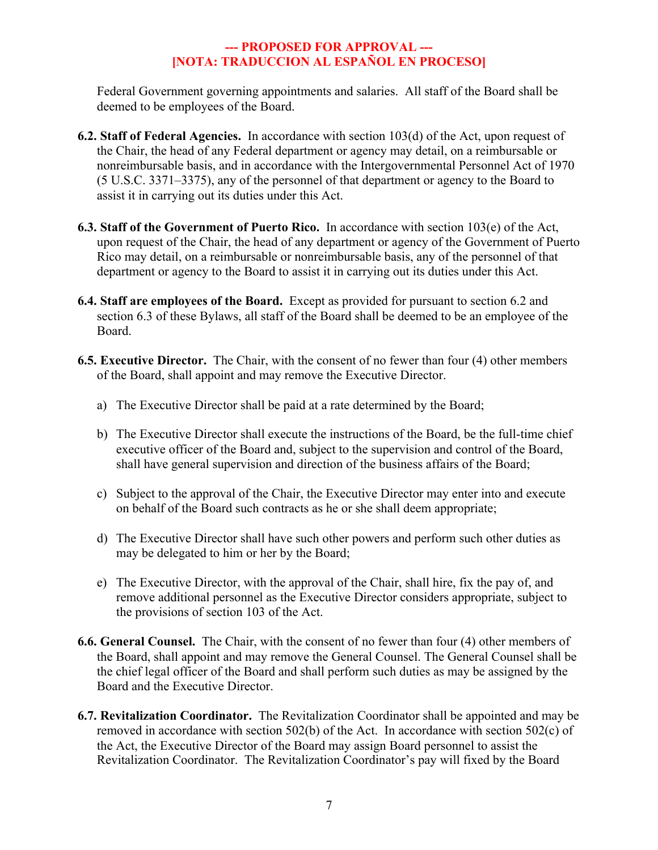Federal Government governing appointments and salaries. All staff of the Board shall be deemed to be employees of the Board.

- **6.2. Staff of Federal Agencies.** In accordance with section 103(d) of the Act, upon request of the Chair, the head of any Federal department or agency may detail, on a reimbursable or nonreimbursable basis, and in accordance with the Intergovernmental Personnel Act of 1970 (5 U.S.C. 3371–3375), any of the personnel of that department or agency to the Board to assist it in carrying out its duties under this Act.
- **6.3. Staff of the Government of Puerto Rico.** In accordance with section 103(e) of the Act, upon request of the Chair, the head of any department or agency of the Government of Puerto Rico may detail, on a reimbursable or nonreimbursable basis, any of the personnel of that department or agency to the Board to assist it in carrying out its duties under this Act.
- **6.4. Staff are employees of the Board.** Except as provided for pursuant to section 6.2 and section 6.3 of these Bylaws, all staff of the Board shall be deemed to be an employee of the Board.
- **6.5. Executive Director.** The Chair, with the consent of no fewer than four (4) other members of the Board, shall appoint and may remove the Executive Director.
	- a) The Executive Director shall be paid at a rate determined by the Board;
	- b) The Executive Director shall execute the instructions of the Board, be the full-time chief executive officer of the Board and, subject to the supervision and control of the Board, shall have general supervision and direction of the business affairs of the Board;
	- c) Subject to the approval of the Chair, the Executive Director may enter into and execute on behalf of the Board such contracts as he or she shall deem appropriate;
	- d) The Executive Director shall have such other powers and perform such other duties as may be delegated to him or her by the Board;
	- e) The Executive Director, with the approval of the Chair, shall hire, fix the pay of, and remove additional personnel as the Executive Director considers appropriate, subject to the provisions of section 103 of the Act.
- **6.6. General Counsel.** The Chair, with the consent of no fewer than four (4) other members of the Board, shall appoint and may remove the General Counsel. The General Counsel shall be the chief legal officer of the Board and shall perform such duties as may be assigned by the Board and the Executive Director.
- **6.7. Revitalization Coordinator.** The Revitalization Coordinator shall be appointed and may be removed in accordance with section 502(b) of the Act. In accordance with section 502(c) of the Act, the Executive Director of the Board may assign Board personnel to assist the Revitalization Coordinator. The Revitalization Coordinator's pay will fixed by the Board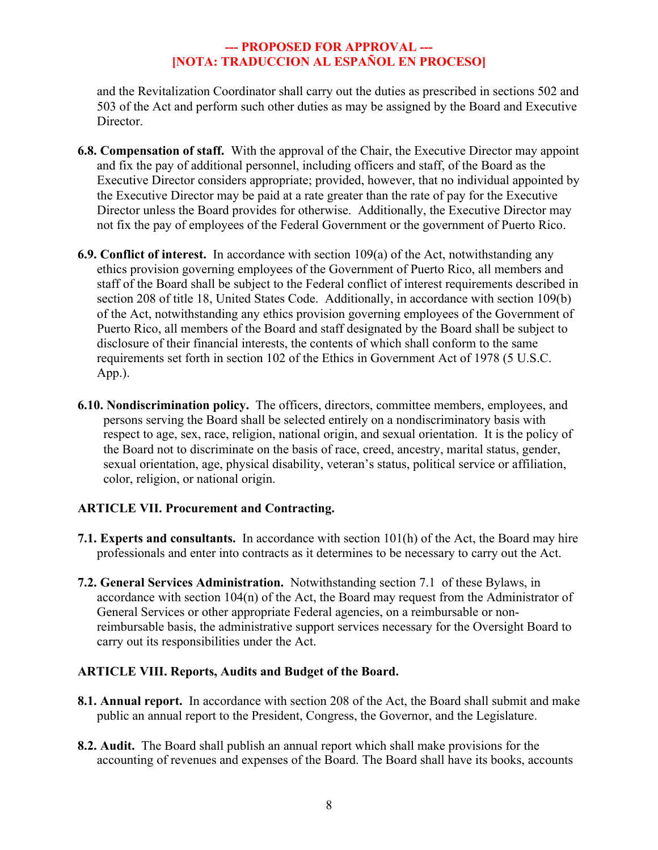and the Revitalization Coordinator shall carry out the duties as prescribed in sections 502 and 503 of the Act and perform such other duties as may be assigned by the Board and Executive Director.

- **6.8. Compensation of staff.** With the approval of the Chair, the Executive Director may appoint and fix the pay of additional personnel, including officers and staff, of the Board as the Executive Director considers appropriate; provided, however, that no individual appointed by the Executive Director may be paid at a rate greater than the rate of pay for the Executive Director unless the Board provides for otherwise.Additionally, the Executive Director may not fix the pay of employees of the Federal Government or the government of Puerto Rico.
- **6.9. Conflict of interest.** In accordance with section 109(a) of the Act, notwithstanding any ethics provision governing employees of the Government of Puerto Rico, all members and staff of the Board shall be subject to the Federal conflict of interest requirements described in section 208 of title 18, United States Code. Additionally, in accordance with section 109(b) of the Act, notwithstanding any ethics provision governing employees of the Government of Puerto Rico, all members of the Board and staff designated by the Board shall be subject to disclosure of their financial interests, the contents of which shall conform to the same requirements set forth in section 102 of the Ethics in Government Act of 1978 (5 U.S.C. App.).
- **6.10. Nondiscrimination policy.** The officers, directors, committee members, employees, and persons serving the Board shall be selected entirely on a nondiscriminatory basis with respect to age, sex, race, religion, national origin, and sexual orientation. It is the policy of the Board not to discriminate on the basis of race, creed, ancestry, marital status, gender, sexual orientation, age, physical disability, veteran's status, political service or affiliation, color, religion, or national origin.

# **ARTICLE VII. Procurement and Contracting.**

- **7.1. Experts and consultants.** In accordance with section 101(h) of the Act, the Board may hire professionals and enter into contracts as it determines to be necessary to carry out the Act.
- **7.2. General Services Administration.** Notwithstanding section 7.1 of these Bylaws, in accordance with section 104(n) of the Act, the Board may request from the Administrator of General Services or other appropriate Federal agencies, on a reimbursable or nonreimbursable basis, the administrative support services necessary for the Oversight Board to carry out its responsibilities under the Act.

# **ARTICLE VIII. Reports, Audits and Budget of the Board.**

- **8.1. Annual report.** In accordance with section 208 of the Act, the Board shall submit and make public an annual report to the President, Congress, the Governor, and the Legislature.
- **8.2. Audit.** The Board shall publish an annual report which shall make provisions for the accounting of revenues and expenses of the Board. The Board shall have its books, accounts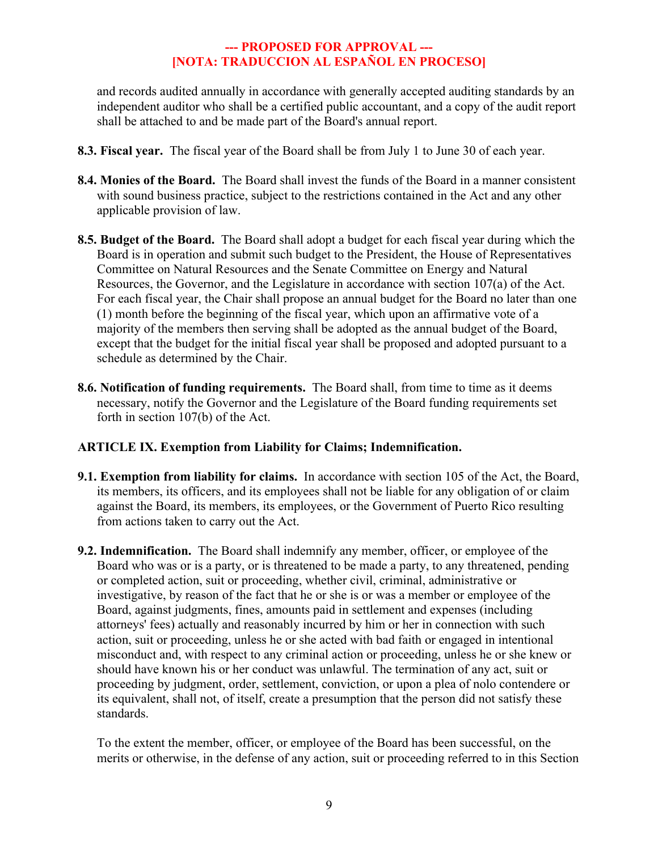and records audited annually in accordance with generally accepted auditing standards by an independent auditor who shall be a certified public accountant, and a copy of the audit report shall be attached to and be made part of the Board's annual report.

- **8.3. Fiscal year.** The fiscal year of the Board shall be from July 1 to June 30 of each year.
- **8.4. Monies of the Board.** The Board shall invest the funds of the Board in a manner consistent with sound business practice, subject to the restrictions contained in the Act and any other applicable provision of law.
- **8.5. Budget of the Board.** The Board shall adopt a budget for each fiscal year during which the Board is in operation and submit such budget to the President, the House of Representatives Committee on Natural Resources and the Senate Committee on Energy and Natural Resources, the Governor, and the Legislature in accordance with section 107(a) of the Act. For each fiscal year, the Chair shall propose an annual budget for the Board no later than one (1) month before the beginning of the fiscal year, which upon an affirmative vote of a majority of the members then serving shall be adopted as the annual budget of the Board, except that the budget for the initial fiscal year shall be proposed and adopted pursuant to a schedule as determined by the Chair.
- **8.6. Notification of funding requirements.** The Board shall, from time to time as it deems necessary, notify the Governor and the Legislature of the Board funding requirements set forth in section 107(b) of the Act.

# **ARTICLE IX. Exemption from Liability for Claims; Indemnification.**

- **9.1. Exemption from liability for claims.** In accordance with section 105 of the Act, the Board, its members, its officers, and its employees shall not be liable for any obligation of or claim against the Board, its members, its employees, or the Government of Puerto Rico resulting from actions taken to carry out the Act.
- **9.2. Indemnification.** The Board shall indemnify any member, officer, or employee of the Board who was or is a party, or is threatened to be made a party, to any threatened, pending or completed action, suit or proceeding, whether civil, criminal, administrative or investigative, by reason of the fact that he or she is or was a member or employee of the Board, against judgments, fines, amounts paid in settlement and expenses (including attorneys' fees) actually and reasonably incurred by him or her in connection with such action, suit or proceeding, unless he or she acted with bad faith or engaged in intentional misconduct and, with respect to any criminal action or proceeding, unless he or she knew or should have known his or her conduct was unlawful. The termination of any act, suit or proceeding by judgment, order, settlement, conviction, or upon a plea of nolo contendere or its equivalent, shall not, of itself, create a presumption that the person did not satisfy these standards.

To the extent the member, officer, or employee of the Board has been successful, on the merits or otherwise, in the defense of any action, suit or proceeding referred to in this Section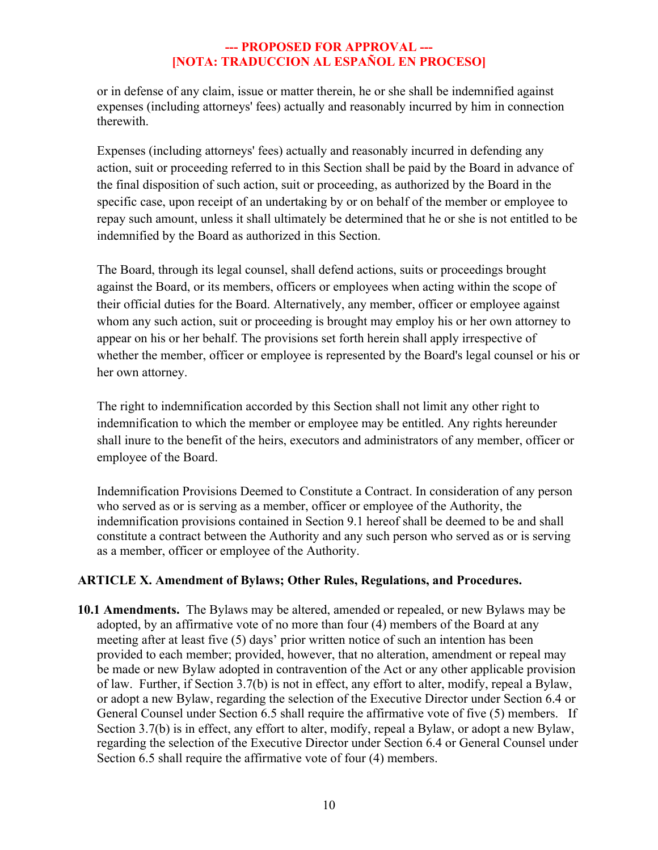or in defense of any claim, issue or matter therein, he or she shall be indemnified against expenses (including attorneys' fees) actually and reasonably incurred by him in connection therewith.

Expenses (including attorneys' fees) actually and reasonably incurred in defending any action, suit or proceeding referred to in this Section shall be paid by the Board in advance of the final disposition of such action, suit or proceeding, as authorized by the Board in the specific case, upon receipt of an undertaking by or on behalf of the member or employee to repay such amount, unless it shall ultimately be determined that he or she is not entitled to be indemnified by the Board as authorized in this Section.

The Board, through its legal counsel, shall defend actions, suits or proceedings brought against the Board, or its members, officers or employees when acting within the scope of their official duties for the Board. Alternatively, any member, officer or employee against whom any such action, suit or proceeding is brought may employ his or her own attorney to appear on his or her behalf. The provisions set forth herein shall apply irrespective of whether the member, officer or employee is represented by the Board's legal counsel or his or her own attorney.

The right to indemnification accorded by this Section shall not limit any other right to indemnification to which the member or employee may be entitled. Any rights hereunder shall inure to the benefit of the heirs, executors and administrators of any member, officer or employee of the Board.

Indemnification Provisions Deemed to Constitute a Contract. In consideration of any person who served as or is serving as a member, officer or employee of the Authority, the indemnification provisions contained in Section 9.1 hereof shall be deemed to be and shall constitute a contract between the Authority and any such person who served as or is serving as a member, officer or employee of the Authority.

# **ARTICLE X. Amendment of Bylaws; Other Rules, Regulations, and Procedures.**

**10.1 Amendments.** The Bylaws may be altered, amended or repealed, or new Bylaws may be adopted, by an affirmative vote of no more than four (4) members of the Board at any meeting after at least five (5) days' prior written notice of such an intention has been provided to each member; provided, however, that no alteration, amendment or repeal may be made or new Bylaw adopted in contravention of the Act or any other applicable provision of law. Further, if Section 3.7(b) is not in effect, any effort to alter, modify, repeal a Bylaw, or adopt a new Bylaw, regarding the selection of the Executive Director under Section 6.4 or General Counsel under Section 6.5 shall require the affirmative vote of five (5) members. If Section 3.7(b) is in effect, any effort to alter, modify, repeal a Bylaw, or adopt a new Bylaw, regarding the selection of the Executive Director under Section 6.4 or General Counsel under Section 6.5 shall require the affirmative vote of four (4) members.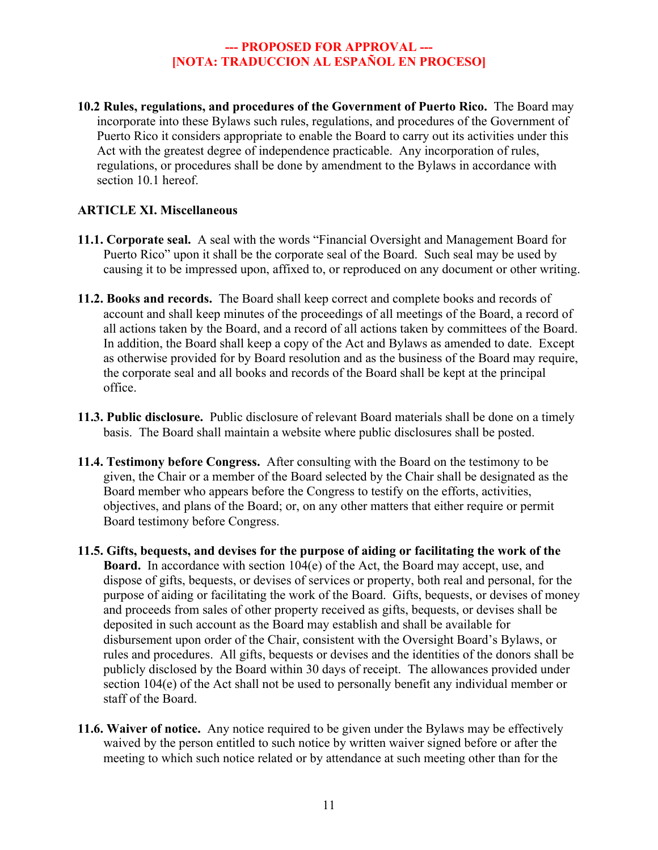**10.2 Rules, regulations, and procedures of the Government of Puerto Rico.** The Board may incorporate into these Bylaws such rules, regulations, and procedures of the Government of Puerto Rico it considers appropriate to enable the Board to carry out its activities under this Act with the greatest degree of independence practicable. Any incorporation of rules, regulations, or procedures shall be done by amendment to the Bylaws in accordance with section 10.1 hereof.

#### **ARTICLE XI. Miscellaneous**

- **11.1. Corporate seal.** A seal with the words "Financial Oversight and Management Board for Puerto Rico" upon it shall be the corporate seal of the Board. Such seal may be used by causing it to be impressed upon, affixed to, or reproduced on any document or other writing.
- **11.2. Books and records.** The Board shall keep correct and complete books and records of account and shall keep minutes of the proceedings of all meetings of the Board, a record of all actions taken by the Board, and a record of all actions taken by committees of the Board. In addition, the Board shall keep a copy of the Act and Bylaws as amended to date. Except as otherwise provided for by Board resolution and as the business of the Board may require, the corporate seal and all books and records of the Board shall be kept at the principal office.
- **11.3. Public disclosure.** Public disclosure of relevant Board materials shall be done on a timely basis. The Board shall maintain a website where public disclosures shall be posted.
- **11.4. Testimony before Congress.** After consulting with the Board on the testimony to be given, the Chair or a member of the Board selected by the Chair shall be designated as the Board member who appears before the Congress to testify on the efforts, activities, objectives, and plans of the Board; or, on any other matters that either require or permit Board testimony before Congress.
- **11.5. Gifts, bequests, and devises for the purpose of aiding or facilitating the work of the Board.** In accordance with section 104(e) of the Act, the Board may accept, use, and dispose of gifts, bequests, or devises of services or property, both real and personal, for the purpose of aiding or facilitating the work of the Board. Gifts, bequests, or devises of money and proceeds from sales of other property received as gifts, bequests, or devises shall be deposited in such account as the Board may establish and shall be available for disbursement upon order of the Chair, consistent with the Oversight Board's Bylaws, or rules and procedures. All gifts, bequests or devises and the identities of the donors shall be publicly disclosed by the Board within 30 days of receipt. The allowances provided under section 104(e) of the Act shall not be used to personally benefit any individual member or staff of the Board.
- **11.6. Waiver of notice.** Any notice required to be given under the Bylaws may be effectively waived by the person entitled to such notice by written waiver signed before or after the meeting to which such notice related or by attendance at such meeting other than for the